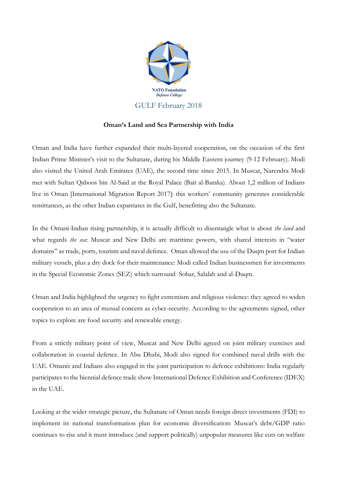

## **Oman's Land and Sea Partnership with India**

Oman and India have further expanded their multi-layered cooperation, on the occasion of the first Indian Prime Minister's visit to the Sultanate, during his Middle Eastern journey (9-12 February). Modi also visited the United Arab Emirates (UAE), the second time since 2015. In Muscat, Narendra Modi met with Sultan Qaboos bin Al-Said at the Royal Palace (Bait al-Baraka). About 1,2 million of Indians live in Oman [International Migration Report 2017]: this workers' community generates considerable remittances, as the other Indian expatriates in the Gulf, benefitting also the Sultanate.

In the Omani-Indian rising partnership, it is actually difficult to disentangle what is about *the land* and what regards *the sea*: Muscat and New Delhi are maritime powers, with shared interests in "water domains" as trade, ports, tourism and naval defence. Oman allowed the use of the Duqm port for Indian military vessels, plus a dry dock for their maintenance: Modi called Indian businessmen for investments in the Special Economic Zones (SEZ) which surround Sohar, Salalah and al-Duqm.

Oman and India highlighted the urgency to fight extremism and religious violence: they agreed to widen cooperation to an area of mutual concern as cyber-security. According to the agreements signed, other topics to explore are food security and renewable energy.

From a strictly military point of view, Muscat and New Delhi agreed on joint military exercises and collaboration in coastal defence. In Abu Dhabi, Modi also signed for combined naval drills with the UAE. Omanis and Indians also engaged in the joint participation to defence exhibitions: India regularly participates to the biennial defence trade show International Defence Exhibition and Conference (IDEX) in the UAE.

Looking at the wider strategic picture, the Sultanate of Oman needs foreign direct investments (FDI) to implement its national transformation plan for economic diversification: Muscat's debt/GDP ratio continues to rise and it must introduce (and support politically) unpopular measures like cuts on welfare